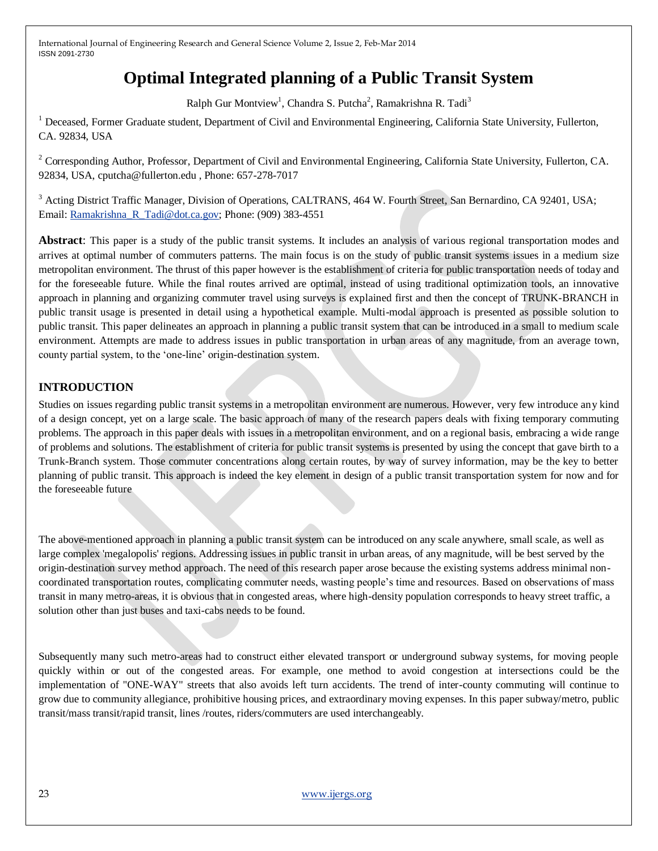# **Optimal Integrated planning of a Public Transit System**

Ralph Gur Montview<sup>1</sup>, Chandra S. Putcha<sup>2</sup>, Ramakrishna R. Tadi<sup>3</sup>

<sup>1</sup> Deceased, Former Graduate student, Department of Civil and Environmental Engineering, California State University, Fullerton, CA. 92834, USA

<sup>2</sup> Corresponding Author, Professor, Department of Civil and Environmental Engineering, California State University, Fullerton, CA. 92834, USA, cputcha@fullerton.edu , Phone: 657-278-7017

<sup>3</sup> Acting District Traffic Manager, Division of Operations, CALTRANS, 464 W. Fourth Street, San Bernardino, CA 92401, USA; Email: [Ramakrishna\\_R\\_Tadi@dot.ca.gov;](mailto:Ramakrishna_R_Tadi@dot.ca.gov) Phone: (909) 383-4551

**Abstract**: This paper is a study of the public transit systems. It includes an analysis of various regional transportation modes and arrives at optimal number of commuters patterns. The main focus is on the study of public transit systems issues in a medium size metropolitan environment. The thrust of this paper however is the establishment of criteria for public transportation needs of today and for the foreseeable future. While the final routes arrived are optimal, instead of using traditional optimization tools, an innovative approach in planning and organizing commuter travel using surveys is explained first and then the concept of TRUNK-BRANCH in public transit usage is presented in detail using a hypothetical example. Multi-modal approach is presented as possible solution to public transit. This paper delineates an approach in planning a public transit system that can be introduced in a small to medium scale environment. Attempts are made to address issues in public transportation in urban areas of any magnitude, from an average town, county partial system, to the "one-line" origin-destination system.

# **INTRODUCTION**

Studies on issues regarding public transit systems in a metropolitan environment are numerous. However, very few introduce any kind of a design concept, yet on a large scale. The basic approach of many of the research papers deals with fixing temporary commuting problems. The approach in this paper deals with issues in a metropolitan environment, and on a regional basis, embracing a wide range of problems and solutions. The establishment of criteria for public transit systems is presented by using the concept that gave birth to a Trunk-Branch system. Those commuter concentrations along certain routes, by way of survey information, may be the key to better planning of public transit. This approach is indeed the key element in design of a public transit transportation system for now and for the foreseeable future

The above-mentioned approach in planning a public transit system can be introduced on any scale anywhere, small scale, as well as large complex 'megalopolis' regions. Addressing issues in public transit in urban areas, of any magnitude, will be best served by the origin-destination survey method approach. The need of this research paper arose because the existing systems address minimal noncoordinated transportation routes, complicating commuter needs, wasting people"s time and resources. Based on observations of mass transit in many metro-areas, it is obvious that in congested areas, where high-density population corresponds to heavy street traffic, a solution other than just buses and taxi-cabs needs to be found.

Subsequently many such metro-areas had to construct either elevated transport or underground subway systems, for moving people quickly within or out of the congested areas. For example, one method to avoid congestion at intersections could be the implementation of "ONE-WAY" streets that also avoids left turn accidents. The trend of inter-county commuting will continue to grow due to community allegiance, prohibitive housing prices, and extraordinary moving expenses. In this paper subway/metro, public transit/mass transit/rapid transit, lines /routes, riders/commuters are used interchangeably.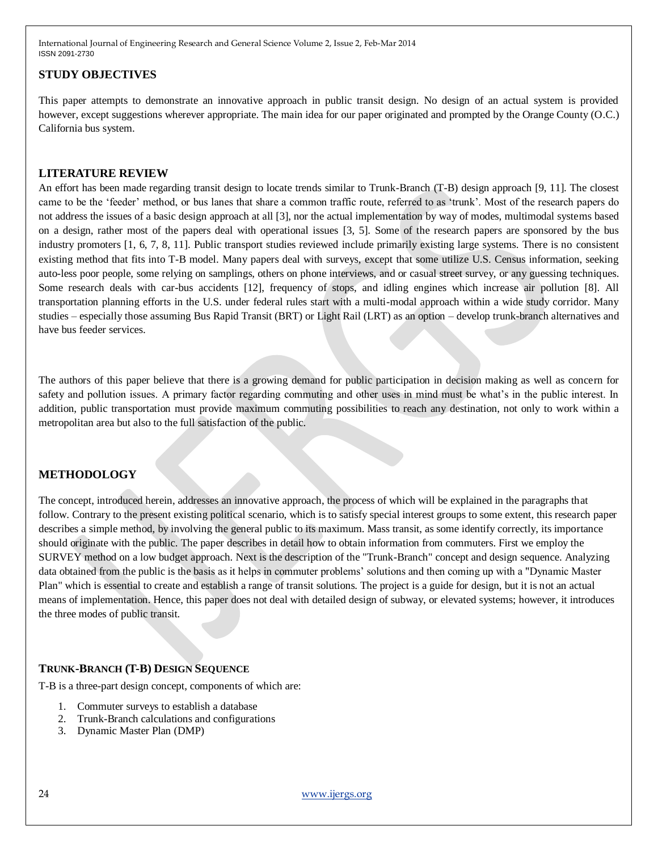## **STUDY OBJECTIVES**

This paper attempts to demonstrate an innovative approach in public transit design. No design of an actual system is provided however, except suggestions wherever appropriate. The main idea for our paper originated and prompted by the Orange County (O.C.) California bus system.

## **LITERATURE REVIEW**

An effort has been made regarding transit design to locate trends similar to Trunk-Branch (T-B) design approach [9, 11]. The closest came to be the "feeder" method, or bus lanes that share a common traffic route, referred to as "trunk". Most of the research papers do not address the issues of a basic design approach at all [3], nor the actual implementation by way of modes, multimodal systems based on a design, rather most of the papers deal with operational issues [3, 5]. Some of the research papers are sponsored by the bus industry promoters [1, 6, 7, 8, 11]. Public transport studies reviewed include primarily existing large systems. There is no consistent existing method that fits into T-B model. Many papers deal with surveys, except that some utilize U.S. Census information, seeking auto-less poor people, some relying on samplings, others on phone interviews, and or casual street survey, or any guessing techniques. Some research deals with car-bus accidents [12], frequency of stops, and idling engines which increase air pollution [8]. All transportation planning efforts in the U.S. under federal rules start with a multi-modal approach within a wide study corridor. Many studies – especially those assuming Bus Rapid Transit (BRT) or Light Rail (LRT) as an option – develop trunk-branch alternatives and have bus feeder services.

The authors of this paper believe that there is a growing demand for public participation in decision making as well as concern for safety and pollution issues. A primary factor regarding commuting and other uses in mind must be what's in the public interest. In addition, public transportation must provide maximum commuting possibilities to reach any destination, not only to work within a metropolitan area but also to the full satisfaction of the public.

## **METHODOLOGY**

The concept, introduced herein, addresses an innovative approach, the process of which will be explained in the paragraphs that follow. Contrary to the present existing political scenario, which is to satisfy special interest groups to some extent, this research paper describes a simple method, by involving the general public to its maximum. Mass transit, as some identify correctly, its importance should originate with the public. The paper describes in detail how to obtain information from commuters. First we employ the SURVEY method on a low budget approach. Next is the description of the "Trunk-Branch" concept and design sequence. Analyzing data obtained from the public is the basis as it helps in commuter problems" solutions and then coming up with a "Dynamic Master Plan" which is essential to create and establish a range of transit solutions. The project is a guide for design, but it is not an actual means of implementation. Hence, this paper does not deal with detailed design of subway, or elevated systems; however, it introduces the three modes of public transit.

## **TRUNK-BRANCH (T-B) DESIGN SEQUENCE**

T-B is a three-part design concept, components of which are:

- 1. Commuter surveys to establish a database
- 2. Trunk-Branch calculations and configurations
- 3. Dynamic Master Plan (DMP)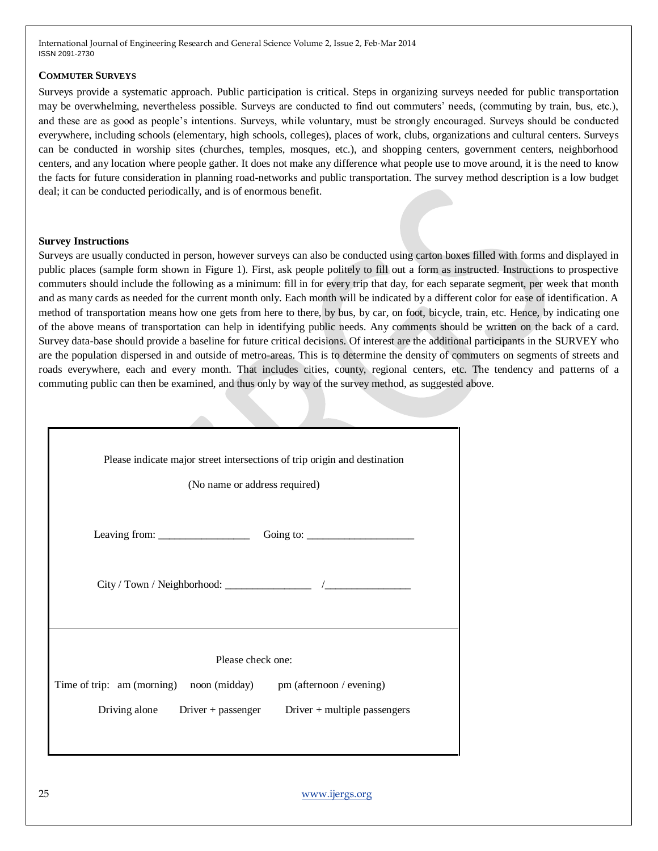#### **COMMUTER SURVEYS**

Surveys provide a systematic approach. Public participation is critical. Steps in organizing surveys needed for public transportation may be overwhelming, nevertheless possible. Surveys are conducted to find out commuters" needs, (commuting by train, bus, etc.), and these are as good as people"s intentions. Surveys, while voluntary, must be strongly encouraged. Surveys should be conducted everywhere, including schools (elementary, high schools, colleges), places of work, clubs, organizations and cultural centers. Surveys can be conducted in worship sites (churches, temples, mosques, etc.), and shopping centers, government centers, neighborhood centers, and any location where people gather. It does not make any difference what people use to move around, it is the need to know the facts for future consideration in planning road-networks and public transportation. The survey method description is a low budget deal; it can be conducted periodically, and is of enormous benefit.

#### **Survey Instructions**

Surveys are usually conducted in person, however surveys can also be conducted using carton boxes filled with forms and displayed in public places (sample form shown in Figure 1). First, ask people politely to fill out a form as instructed. Instructions to prospective commuters should include the following as a minimum: fill in for every trip that day, for each separate segment, per week that month and as many cards as needed for the current month only. Each month will be indicated by a different color for ease of identification. A method of transportation means how one gets from here to there, by bus, by car, on foot, bicycle, train, etc. Hence, by indicating one of the above means of transportation can help in identifying public needs. Any comments should be written on the back of a card. Survey data-base should provide a baseline for future critical decisions. Of interest are the additional participants in the SURVEY who are the population dispersed in and outside of metro-areas. This is to determine the density of commuters on segments of streets and roads everywhere, each and every month. That includes cities, county, regional centers, etc. The tendency and patterns of a commuting public can then be examined, and thus only by way of the survey method, as suggested above.

| Please indicate major street intersections of trip origin and destination<br>(No name or address required) |  |  |  |  |  |  |  |  |  |
|------------------------------------------------------------------------------------------------------------|--|--|--|--|--|--|--|--|--|
|                                                                                                            |  |  |  |  |  |  |  |  |  |
|                                                                                                            |  |  |  |  |  |  |  |  |  |
| Please check one:                                                                                          |  |  |  |  |  |  |  |  |  |
| Time of trip: am (morning) noon (midday)<br>pm (afternoon / evening)                                       |  |  |  |  |  |  |  |  |  |
| Driving alone $Diriver + passenger$                                                                        |  |  |  |  |  |  |  |  |  |
| Driver $+$ multiple passengers                                                                             |  |  |  |  |  |  |  |  |  |
|                                                                                                            |  |  |  |  |  |  |  |  |  |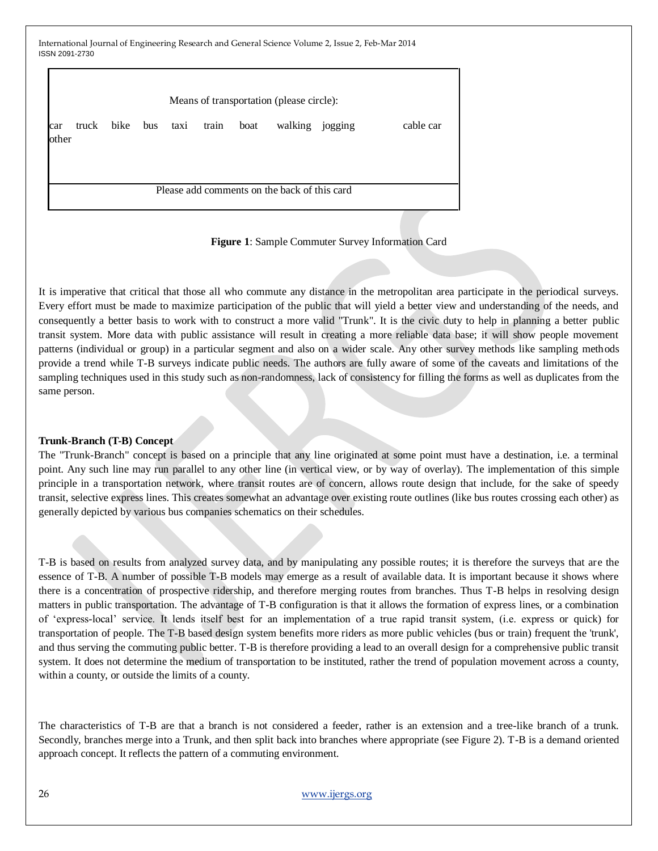| Means of transportation (please circle): |  |                     |  |  |       |      |                                              |  |           |
|------------------------------------------|--|---------------------|--|--|-------|------|----------------------------------------------|--|-----------|
| car<br>other                             |  | truck bike bus taxi |  |  | train | boat | walking jogging                              |  | cable car |
|                                          |  |                     |  |  |       |      | Please add comments on the back of this card |  |           |

**Figure 1**: Sample Commuter Survey Information Card

It is imperative that critical that those all who commute any distance in the metropolitan area participate in the periodical surveys. Every effort must be made to maximize participation of the public that will yield a better view and understanding of the needs, and consequently a better basis to work with to construct a more valid "Trunk". It is the civic duty to help in planning a better public transit system. More data with public assistance will result in creating a more reliable data base; it will show people movement patterns (individual or group) in a particular segment and also on a wider scale. Any other survey methods like sampling methods provide a trend while T-B surveys indicate public needs. The authors are fully aware of some of the caveats and limitations of the sampling techniques used in this study such as non-randomness, lack of consistency for filling the forms as well as duplicates from the same person.

#### **Trunk-Branch (T-B) Concept**

The "Trunk-Branch" concept is based on a principle that any line originated at some point must have a destination, i.e. a terminal point. Any such line may run parallel to any other line (in vertical view, or by way of overlay). The implementation of this simple principle in a transportation network, where transit routes are of concern, allows route design that include, for the sake of speedy transit, selective express lines. This creates somewhat an advantage over existing route outlines (like bus routes crossing each other) as generally depicted by various bus companies schematics on their schedules.

T-B is based on results from analyzed survey data, and by manipulating any possible routes; it is therefore the surveys that are the essence of T-B. A number of possible T-B models may emerge as a result of available data. It is important because it shows where there is a concentration of prospective ridership, and therefore merging routes from branches. Thus T-B helps in resolving design matters in public transportation. The advantage of T-B configuration is that it allows the formation of express lines, or a combination of "express-local" service. It lends itself best for an implementation of a true rapid transit system, (i.e. express or quick) for transportation of people. The T-B based design system benefits more riders as more public vehicles (bus or train) frequent the 'trunk', and thus serving the commuting public better. T-B is therefore providing a lead to an overall design for a comprehensive public transit system. It does not determine the medium of transportation to be instituted, rather the trend of population movement across a county, within a county, or outside the limits of a county.

The characteristics of T-B are that a branch is not considered a feeder, rather is an extension and a tree-like branch of a trunk. Secondly, branches merge into a Trunk, and then split back into branches where appropriate (see Figure 2). T-B is a demand oriented approach concept. It reflects the pattern of a commuting environment.

## 26 [www.ijergs.org](http://www.ijergs.org/)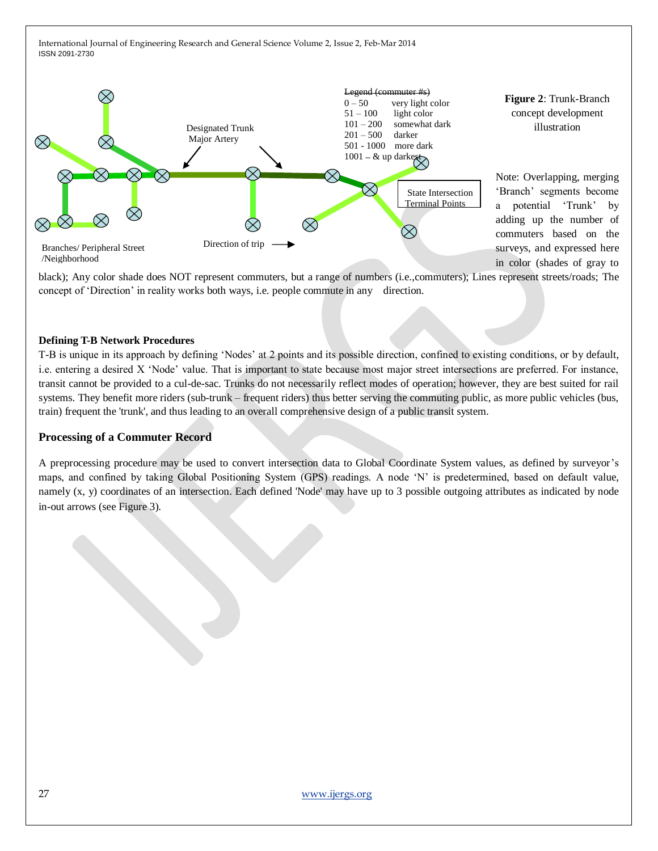

**Figure 2**: Trunk-Branch concept development illustration

Note: Overlapping, merging "Branch" segments become a potential "Trunk" by adding up the number of commuters based on the surveys, and expressed here in color (shades of gray to

black); Any color shade does NOT represent commuters, but a range of numbers (i.e.,commuters); Lines represent streets/roads; The concept of "Direction" in reality works both ways, i.e. people commute in any direction.

#### **Defining T-B Network Procedures**

T-B is unique in its approach by defining "Nodes" at 2 points and its possible direction, confined to existing conditions, or by default, i.e. entering a desired X "Node" value. That is important to state because most major street intersections are preferred. For instance, transit cannot be provided to a cul-de-sac. Trunks do not necessarily reflect modes of operation; however, they are best suited for rail systems. They benefit more riders (sub-trunk – frequent riders) thus better serving the commuting public, as more public vehicles (bus, train) frequent the 'trunk', and thus leading to an overall comprehensive design of a public transit system.

#### **Processing of a Commuter Record**

A preprocessing procedure may be used to convert intersection data to Global Coordinate System values, as defined by surveyor"s maps, and confined by taking Global Positioning System (GPS) readings. A node "N" is predetermined, based on default value, namely (x, y) coordinates of an intersection. Each defined 'Node' may have up to 3 possible outgoing attributes as indicated by node in-out arrows (see Figure 3).**.**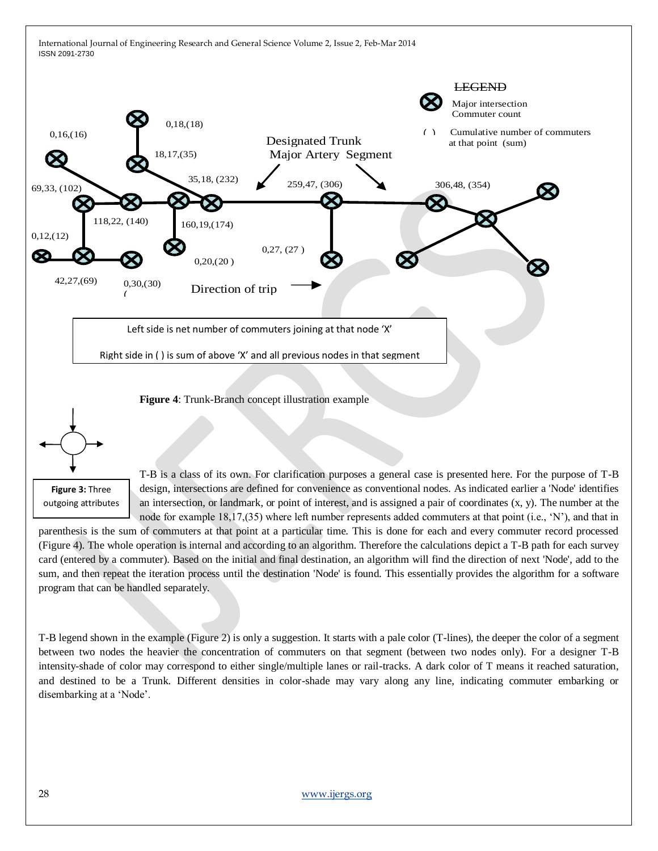



T-B is a class of its own. For clarification purposes a general case is presented here. For the purpose of T-B design, intersections are defined for convenience as conventional nodes. As indicated earlier a 'Node' identifies an intersection, or landmark, or point of interest, and is assigned a pair of coordinates  $(x, y)$ . The number at the node for example 18,17,(35) where left number represents added commuters at that point (i.e., "N"), and that in

parenthesis is the sum of commuters at that point at a particular time. This is done for each and every commuter record processed (Figure 4). The whole operation is internal and according to an algorithm. Therefore the calculations depict a T-B path for each survey card (entered by a commuter). Based on the initial and final destination, an algorithm will find the direction of next 'Node', add to the sum, and then repeat the iteration process until the destination 'Node' is found. This essentially provides the algorithm for a software program that can be handled separately.

T-B legend shown in the example (Figure 2) is only a suggestion. It starts with a pale color (T-lines), the deeper the color of a segment between two nodes the heavier the concentration of commuters on that segment (between two nodes only). For a designer T-B intensity-shade of color may correspond to either single/multiple lanes or rail-tracks. A dark color of T means it reached saturation, and destined to be a Trunk. Different densities in color-shade may vary along any line, indicating commuter embarking or disembarking at a "Node".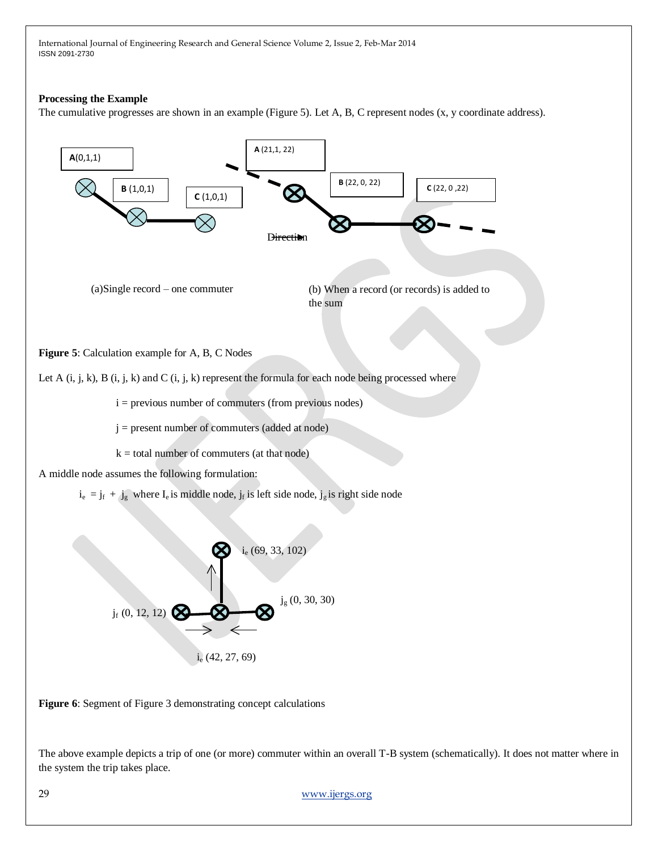#### **Processing the Example**

The cumulative progresses are shown in an example (Figure 5). Let A, B, C represent nodes (x, y coordinate address).



**Figure 6**: Segment of Figure 3 demonstrating concept calculations

The above example depicts a trip of one (or more) commuter within an overall T-B system (schematically). It does not matter where in the system the trip takes place.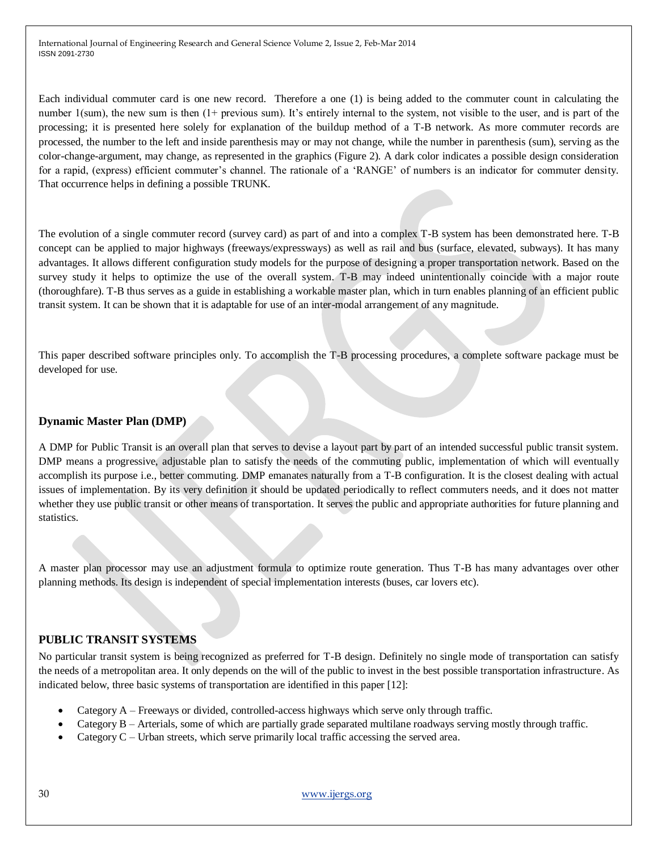Each individual commuter card is one new record. Therefore a one (1) is being added to the commuter count in calculating the number 1(sum), the new sum is then (1+ previous sum). It's entirely internal to the system, not visible to the user, and is part of the processing; it is presented here solely for explanation of the buildup method of a T-B network. As more commuter records are processed, the number to the left and inside parenthesis may or may not change, while the number in parenthesis (sum), serving as the color-change-argument, may change, as represented in the graphics (Figure 2). A dark color indicates a possible design consideration for a rapid, (express) efficient commuter's channel. The rationale of a 'RANGE' of numbers is an indicator for commuter density. That occurrence helps in defining a possible TRUNK.

The evolution of a single commuter record (survey card) as part of and into a complex T-B system has been demonstrated here. T-B concept can be applied to major highways (freeways/expressways) as well as rail and bus (surface, elevated, subways). It has many advantages. It allows different configuration study models for the purpose of designing a proper transportation network. Based on the survey study it helps to optimize the use of the overall system. T-B may indeed unintentionally coincide with a major route (thoroughfare). T-B thus serves as a guide in establishing a workable master plan, which in turn enables planning of an efficient public transit system. It can be shown that it is adaptable for use of an inter-modal arrangement of any magnitude.

This paper described software principles only. To accomplish the T-B processing procedures, a complete software package must be developed for use.

### **Dynamic Master Plan (DMP)**

A DMP for Public Transit is an overall plan that serves to devise a layout part by part of an intended successful public transit system. DMP means a progressive, adjustable plan to satisfy the needs of the commuting public, implementation of which will eventually accomplish its purpose i.e., better commuting. DMP emanates naturally from a T-B configuration. It is the closest dealing with actual issues of implementation. By its very definition it should be updated periodically to reflect commuters needs, and it does not matter whether they use public transit or other means of transportation. It serves the public and appropriate authorities for future planning and statistics.

A master plan processor may use an adjustment formula to optimize route generation. Thus T-B has many advantages over other planning methods. Its design is independent of special implementation interests (buses, car lovers etc).

## **PUBLIC TRANSIT SYSTEMS**

No particular transit system is being recognized as preferred for T-B design. Definitely no single mode of transportation can satisfy the needs of a metropolitan area. It only depends on the will of the public to invest in the best possible transportation infrastructure. As indicated below, three basic systems of transportation are identified in this paper [12]:

- Category A Freeways or divided, controlled-access highways which serve only through traffic.
- Category B Arterials, some of which are partially grade separated multilane roadways serving mostly through traffic.
- Category C Urban streets, which serve primarily local traffic accessing the served area.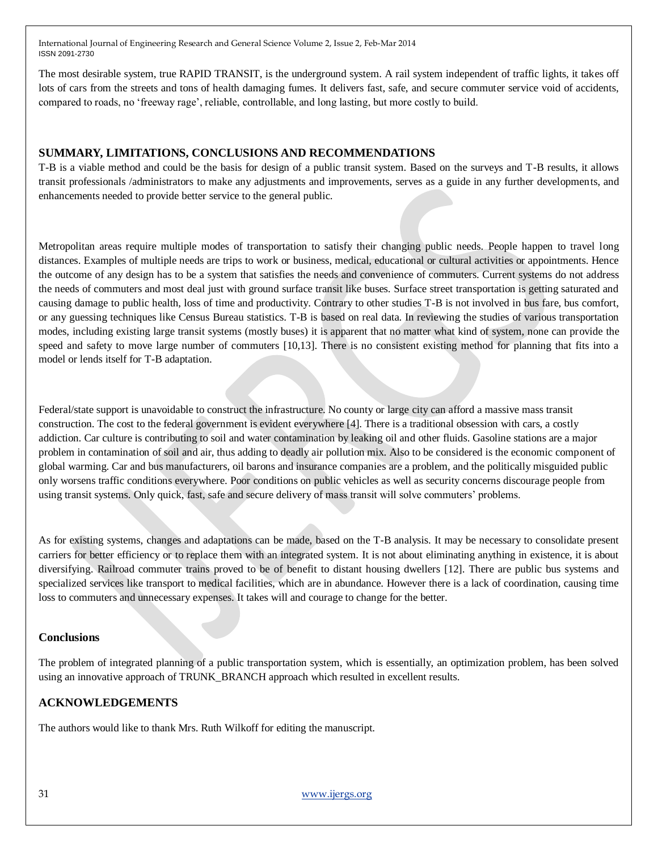The most desirable system, true RAPID TRANSIT, is the underground system. A rail system independent of traffic lights, it takes off lots of cars from the streets and tons of health damaging fumes. It delivers fast, safe, and secure commuter service void of accidents, compared to roads, no "freeway rage", reliable, controllable, and long lasting, but more costly to build.

## **SUMMARY, LIMITATIONS, CONCLUSIONS AND RECOMMENDATIONS**

T-B is a viable method and could be the basis for design of a public transit system. Based on the surveys and T-B results, it allows transit professionals /administrators to make any adjustments and improvements, serves as a guide in any further developments, and enhancements needed to provide better service to the general public.

Metropolitan areas require multiple modes of transportation to satisfy their changing public needs. People happen to travel long distances. Examples of multiple needs are trips to work or business, medical, educational or cultural activities or appointments. Hence the outcome of any design has to be a system that satisfies the needs and convenience of commuters. Current systems do not address the needs of commuters and most deal just with ground surface transit like buses. Surface street transportation is getting saturated and causing damage to public health, loss of time and productivity. Contrary to other studies T-B is not involved in bus fare, bus comfort, or any guessing techniques like Census Bureau statistics. T-B is based on real data. In reviewing the studies of various transportation modes, including existing large transit systems (mostly buses) it is apparent that no matter what kind of system, none can provide the speed and safety to move large number of commuters [10,13]. There is no consistent existing method for planning that fits into a model or lends itself for T-B adaptation.

Federal/state support is unavoidable to construct the infrastructure. No county or large city can afford a massive mass transit construction. The cost to the federal government is evident everywhere [4]. There is a traditional obsession with cars, a costly addiction. Car culture is contributing to soil and water contamination by leaking oil and other fluids. Gasoline stations are a major problem in contamination of soil and air, thus adding to deadly air pollution mix. Also to be considered is the economic component of global warming. Car and bus manufacturers, oil barons and insurance companies are a problem, and the politically misguided public only worsens traffic conditions everywhere. Poor conditions on public vehicles as well as security concerns discourage people from using transit systems. Only quick, fast, safe and secure delivery of mass transit will solve commuters" problems.

As for existing systems, changes and adaptations can be made, based on the T-B analysis. It may be necessary to consolidate present carriers for better efficiency or to replace them with an integrated system. It is not about eliminating anything in existence, it is about diversifying. Railroad commuter trains proved to be of benefit to distant housing dwellers [12]. There are public bus systems and specialized services like transport to medical facilities, which are in abundance. However there is a lack of coordination, causing time loss to commuters and unnecessary expenses. It takes will and courage to change for the better.

## **Conclusions**

The problem of integrated planning of a public transportation system, which is essentially, an optimization problem, has been solved using an innovative approach of TRUNK\_BRANCH approach which resulted in excellent results.

## **ACKNOWLEDGEMENTS**

The authors would like to thank Mrs. Ruth Wilkoff for editing the manuscript.